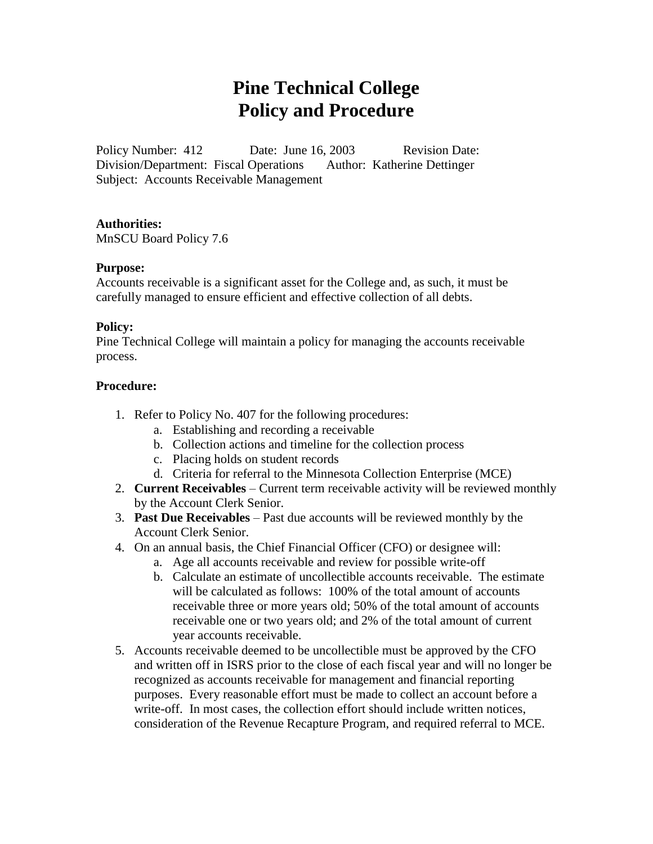# **Pine Technical College Policy and Procedure**

Policy Number: 412 Date: June 16, 2003 Revision Date: Division/Department: Fiscal Operations Author: Katherine Dettinger Subject: Accounts Receivable Management

#### **Authorities:**

MnSCU Board Policy 7.6

#### **Purpose:**

Accounts receivable is a significant asset for the College and, as such, it must be carefully managed to ensure efficient and effective collection of all debts.

#### **Policy:**

Pine Technical College will maintain a policy for managing the accounts receivable process.

#### **Procedure:**

- 1. Refer to Policy No. 407 for the following procedures:
	- a. Establishing and recording a receivable
	- b. Collection actions and timeline for the collection process
	- c. Placing holds on student records
	- d. Criteria for referral to the Minnesota Collection Enterprise (MCE)
- 2. **Current Receivables** Current term receivable activity will be reviewed monthly by the Account Clerk Senior.
- 3. **Past Due Receivables** Past due accounts will be reviewed monthly by the Account Clerk Senior.
- 4. On an annual basis, the Chief Financial Officer (CFO) or designee will:
	- a. Age all accounts receivable and review for possible write-off
	- b. Calculate an estimate of uncollectible accounts receivable. The estimate will be calculated as follows: 100% of the total amount of accounts receivable three or more years old; 50% of the total amount of accounts receivable one or two years old; and 2% of the total amount of current year accounts receivable.
- 5. Accounts receivable deemed to be uncollectible must be approved by the CFO and written off in ISRS prior to the close of each fiscal year and will no longer be recognized as accounts receivable for management and financial reporting purposes. Every reasonable effort must be made to collect an account before a write-off. In most cases, the collection effort should include written notices, consideration of the Revenue Recapture Program, and required referral to MCE.